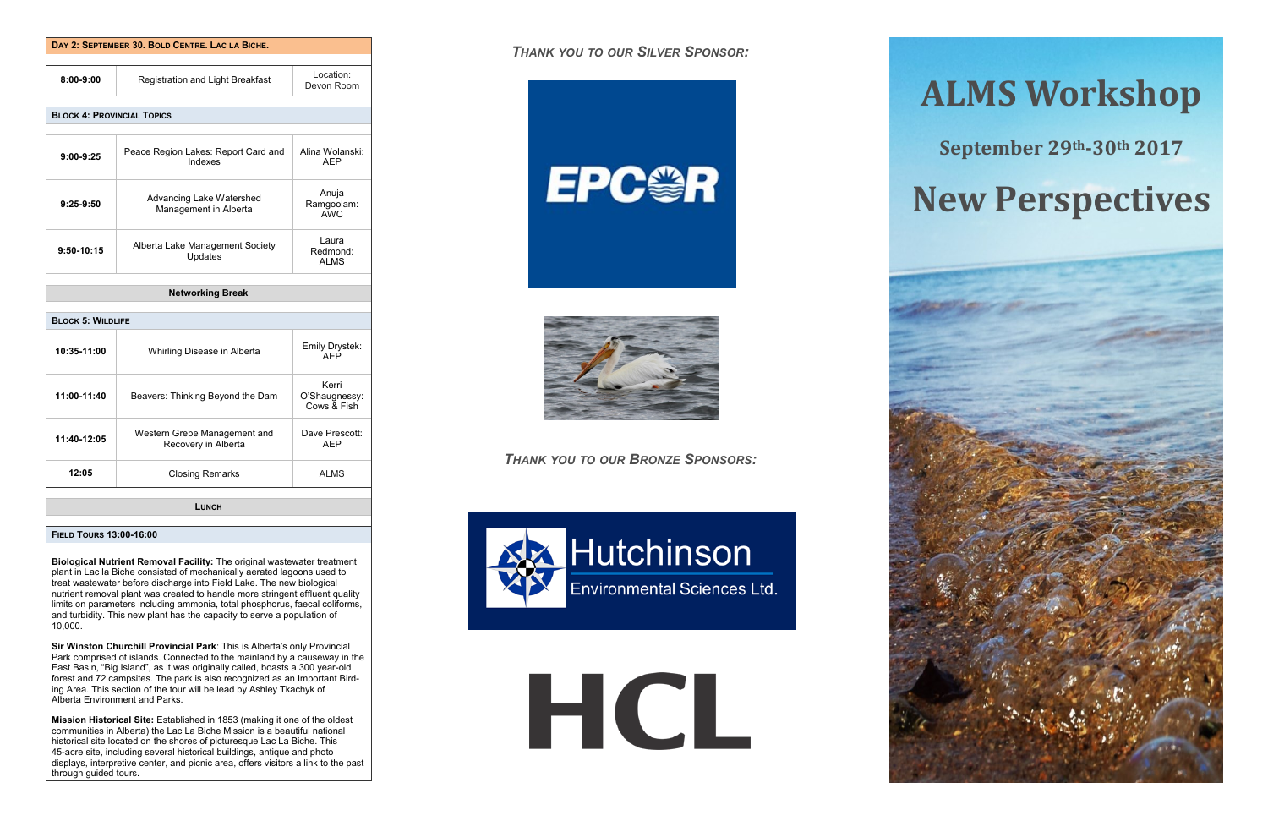| DAY 2: SEPTEMBER 30, BOLD CENTRE, LAC LA BICHE. |                                                     |                                       |
|-------------------------------------------------|-----------------------------------------------------|---------------------------------------|
|                                                 |                                                     |                                       |
| 8:00-9:00                                       | Registration and Light Breakfast                    | Location:<br>Devon Room               |
|                                                 |                                                     |                                       |
| <b>BLOCK 4: PROVINCIAL TOPICS</b>               |                                                     |                                       |
| $9:00-9:25$                                     | Peace Region Lakes: Report Card and<br>Indexes      | Alina Wolanski:<br><b>AFP</b>         |
| $9:25-9:50$                                     | Advancing Lake Watershed<br>Management in Alberta   | Anuja<br>Ramgoolam:<br>AWC.           |
| 9:50-10:15                                      | Alberta Lake Management Society<br>Updates          | Laura<br>Redmond:<br><b>ALMS</b>      |
|                                                 | <b>Networking Break</b>                             |                                       |
|                                                 |                                                     |                                       |
| <b>BLOCK 5: WILDLIFE</b>                        |                                                     |                                       |
| 10:35-11:00                                     | Whirling Disease in Alberta                         | Emily Drystek:<br><b>AFP</b>          |
| 11:00-11:40                                     | Beavers: Thinking Beyond the Dam                    | Kerri<br>O'Shaugnessy:<br>Cows & Fish |
| 11:40-12:05                                     | Western Grebe Management and<br>Recovery in Alberta | Dave Prescott:<br><b>AEP</b>          |
| 12:05                                           | <b>Closing Remarks</b>                              | <b>ALMS</b>                           |
|                                                 |                                                     |                                       |
| і шасн                                          |                                                     |                                       |

**FIELD TOURS 13:00-16:00**

**Biological Nutrient Removal Facility:** The original wastewater treatment plant in Lac la Biche consisted of mechanically aerated lagoons used to treat wastewater before discharge into Field Lake. The new biological nutrient removal plant was created to handle more stringent effluent quality limits on parameters including ammonia, total phosphorus, faecal coliforms, and turbidity. This new plant has the capacity to serve a population of 10,000.

**Sir Winston Churchill Provincial Park**: This is Alberta's only Provincial Park comprised of islands. Connected to the mainland by a causeway in the East Basin, "Big Island", as it was originally called, boasts a 300 year-old forest and 72 campsites. The park is also recognized as an Important Birding Area. This section of the tour will be lead by Ashley Tkachyk of Alberta Environment and Parks.

**Mission Historical Site:** Established in 1853 (making it one of the oldest communities in Alberta) the Lac La Biche Mission is a beautiful national historical site located on the shores of picturesque Lac La Biche. This 45-acre site, including several historical buildings, antique and photo displays, interpretive center, and picnic area, offers visitors a link to the past through guided tours.

*THANK YOU TO OUR SILVER SPONSOR:*





*THANK YOU TO OUR BRONZE SPONSORS:*



HCL